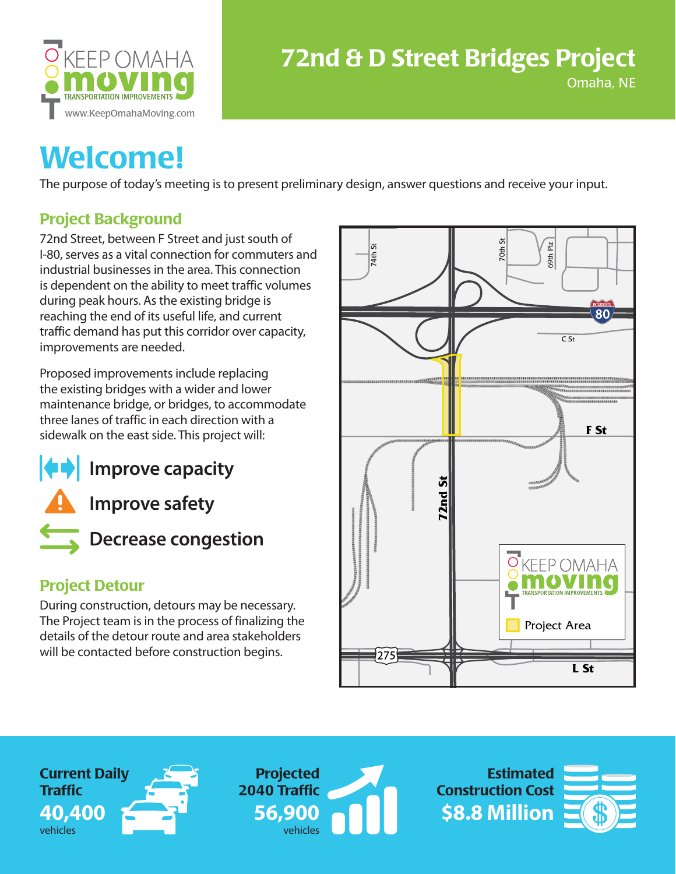

#### Omaha, NE

## **Welcome!**

The purpose of today's meeting is to present preliminary design, answer questions and receive your input.

### **Project Background**

72nd Street, between F Street and just south of I-80, serves as a vital connection for commuters and industrial businesses in the area. This connection is dependent on the ability to meet traffic volumes during peak hours. As the existing bridge is reaching the end of its useful life, and current traffic demand has put this corridor over capacity, improvements are needed.

Proposed improvements include replacing the existing bridges with a wider and lower maintenance bridge, or bridges, to accommodate three lanes of traffic in each direction with a sidewalk on the east side. This project will:



**Improve safety**



**Decrease congestion**

#### **Project Detour**

During construction, detours may be necessary. The Project team is in the process of finalizing the details of the detour route and area stakeholders will be contacted before construction begins.



**Current Daily Traffic 40,400** vehicles



**\$8.8 Million Estimated Construction Cost**